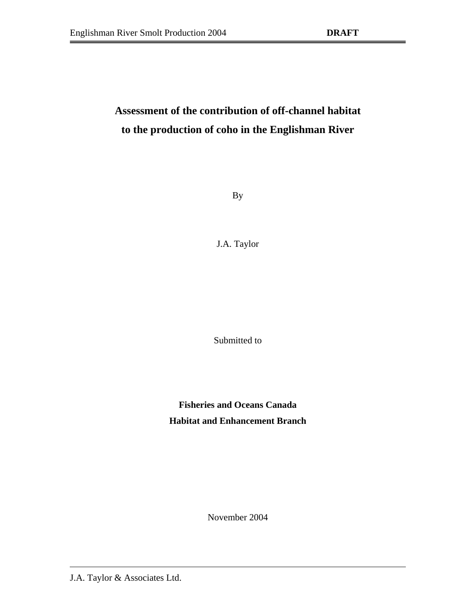# <span id="page-0-1"></span><span id="page-0-0"></span>**Assessment of the contribution of off-channel habitat to the production of coho in the Englishman River**

By

J.A. Taylor

Submitted to

**Fisheries and Oceans Canada Habitat and Enhancement Branch**

November 2004

J.A. Taylor & Associates Ltd.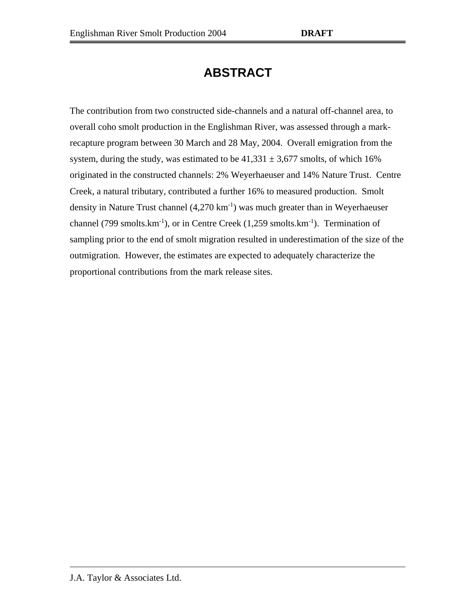# **ABSTRACT**

The contribution from two constructed side-channels and a natural off-channel area, to overall coho smolt production in the Englishman River, was assessed through a markrecapture program between 30 March and 28 May, 2004. Overall emigration from the system, during the study, was estimated to be  $41,331 \pm 3,677$  smolts, of which 16% originated in the constructed channels: 2% Weyerhaeuser and 14% Nature Trust. Centre Creek, a natural tributary, contributed a further 16% to measured production. Smolt density in Nature Trust channel  $(4,270 \text{ km}^{-1})$  was much greater than in Weyerhaeuser channel (799 smolts. $km^{-1}$ ), or in Centre Creek (1,259 smolts. $km^{-1}$ ). Termination of sampling prior to the end of smolt migration resulted in underestimation of the size of the outmigration. However, the estimates are expected to adequately characterize the proportional contributions from the mark release sites.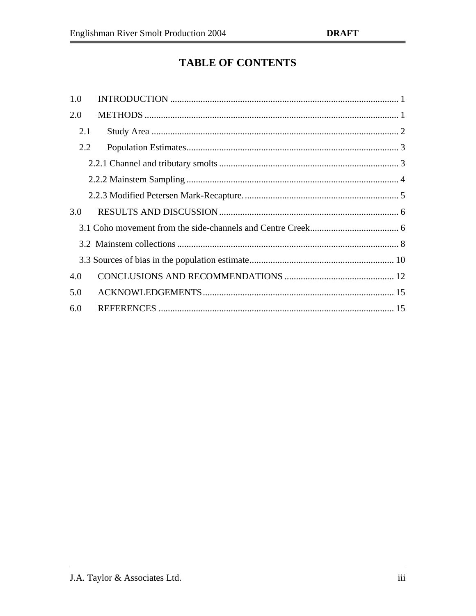# **TABLE OF CONTENTS**

| 1.0 |     |
|-----|-----|
| 2.0 |     |
|     | 2.1 |
|     | 2.2 |
|     |     |
|     |     |
|     |     |
| 3.0 |     |
|     |     |
|     |     |
|     |     |
| 4.0 |     |
| 5.0 |     |
| 6.0 |     |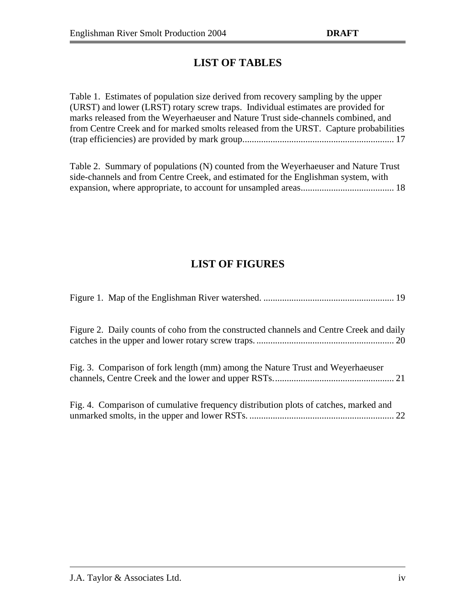### **LIST OF TABLES**

| Table 1. Estimates of population size derived from recovery sampling by the upper     |  |
|---------------------------------------------------------------------------------------|--|
| (URST) and lower (LRST) rotary screw traps. Individual estimates are provided for     |  |
| marks released from the Weyerhaeuser and Nature Trust side-channels combined, and     |  |
| from Centre Creek and for marked smolts released from the URST. Capture probabilities |  |
|                                                                                       |  |

Table 2. Summary of populations (N) counted from the Weyerhaeuser and Nature Trust side-channels and from Centre Creek, and estimated for the Englishman system, with expansion, where appropriate, to account for unsampled area[s........................................](#page-0-1) 18

## **LIST OF FIGURES**

| Figure 2. Daily counts of coho from the constructed channels and Centre Creek and daily |  |
|-----------------------------------------------------------------------------------------|--|
| Fig. 3. Comparison of fork length (mm) among the Nature Trust and Weyerhaeuser          |  |
| Fig. 4. Comparison of cumulative frequency distribution plots of catches, marked and    |  |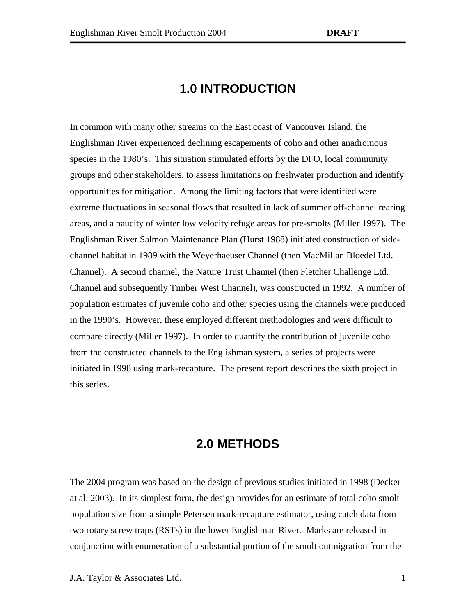## **1.0 INTRODUCTION**

<span id="page-4-0"></span>In common with many other streams on the East coast of Vancouver Island, the Englishman River experienced declining escapements of coho and other anadromous species in the 1980's. This situation stimulated efforts by the DFO, local community groups and other stakeholders, to assess limitations on freshwater production and identify opportunities for mitigation. Among the limiting factors that were identified were extreme fluctuations in seasonal flows that resulted in lack of summer off-channel rearing areas, and a paucity of winter low velocity refuge areas for pre-smolts (Miller 1997). The Englishman River Salmon Maintenance Plan (Hurst 1988) initiated construction of sidechannel habitat in 1989 with the Weyerhaeuser Channel (then MacMillan Bloedel Ltd. Channel). A second channel, the Nature Trust Channel (then Fletcher Challenge Ltd. Channel and subsequently Timber West Channel), was constructed in 1992. A number of population estimates of juvenile coho and other species using the channels were produced in the 1990's. However, these employed different methodologies and were difficult to compare directly (Miller 1997). In order to quantify the contribution of juvenile coho from the constructed channels to the Englishman system, a series of projects were initiated in 1998 using mark-recapture. The present report describes the sixth project in this series.

### **2.0 METHODS**

<span id="page-4-1"></span>The 2004 program was based on the design of previous studies initiated in 1998 (Decker at al. 2003). In its simplest form, the design provides for an estimate of total coho smolt population size from a simple Petersen mark-recapture estimator, using catch data from two rotary screw traps (RSTs) in the lower Englishman River. Marks are released in conjunction with enumeration of a substantial portion of the smolt outmigration from the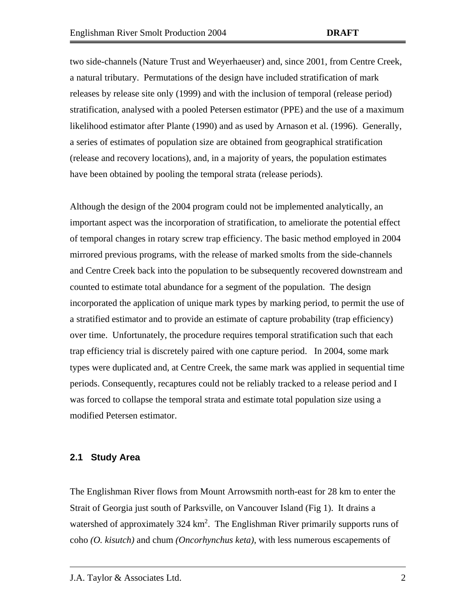two side-channels (Nature Trust and Weyerhaeuser) and, since 2001, from Centre Creek, a natural tributary. Permutations of the design have included stratification of mark releases by release site only (1999) and with the inclusion of temporal (release period) stratification, analysed with a pooled Petersen estimator (PPE) and the use of a maximum likelihood estimator after Plante (1990) and as used by Arnason et al. (1996). Generally, a series of estimates of population size are obtained from geographical stratification (release and recovery locations), and, in a majority of years, the population estimates have been obtained by pooling the temporal strata (release periods).

Although the design of the 2004 program could not be implemented analytically, an important aspect was the incorporation of stratification, to ameliorate the potential effect of temporal changes in rotary screw trap efficiency. The basic method employed in 2004 mirrored previous programs, with the release of marked smolts from the side-channels and Centre Creek back into the population to be subsequently recovered downstream and counted to estimate total abundance for a segment of the population. The design incorporated the application of unique mark types by marking period, to permit the use of a stratified estimator and to provide an estimate of capture probability (trap efficiency) over time. Unfortunately, the procedure requires temporal stratification such that each trap efficiency trial is discretely paired with one capture period. In 2004, some mark types were duplicated and, at Centre Creek, the same mark was applied in sequential time periods. Consequently, recaptures could not be reliably tracked to a release period and I was forced to collapse the temporal strata and estimate total population size using a modified Petersen estimator.

#### <span id="page-5-0"></span>**2.1 Study Area**

The Englishman River flows from Mount Arrowsmith north-east for 28 km to enter the Strait of Georgia just south of Parksville, on Vancouver Island (Fig 1). It drains a watershed of approximately 324 km<sup>2</sup>. The Englishman River primarily supports runs of coho *(O. kisutch)* and chum *(Oncorhynchus keta)*, with less numerous escapements of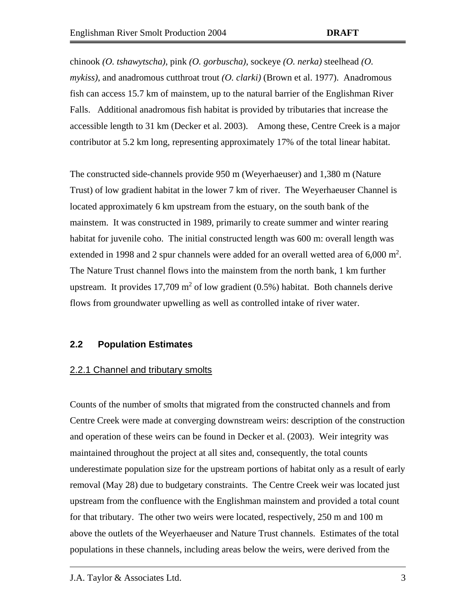chinook *(O. tshawytscha)*, pink *(O. gorbuscha)*, sockeye *(O. nerka)* steelhead *(O. mykiss)*, and anadromous cutthroat trout *(O. clarki)* (Brown et al. 1977). Anadromous fish can access 15.7 km of mainstem, up to the natural barrier of the Englishman River Falls. Additional anadromous fish habitat is provided by tributaries that increase the accessible length to 31 km (Decker et al. 2003). Among these, Centre Creek is a major contributor at 5.2 km long, representing approximately 17% of the total linear habitat.

The constructed side-channels provide 950 m (Weyerhaeuser) and 1,380 m (Nature Trust) of low gradient habitat in the lower 7 km of river. The Weyerhaeuser Channel is located approximately 6 km upstream from the estuary, on the south bank of the mainstem. It was constructed in 1989, primarily to create summer and winter rearing habitat for juvenile coho. The initial constructed length was 600 m: overall length was extended in 1998 and 2 spur channels were added for an overall wetted area of  $6,000 \text{ m}^2$ . The Nature Trust channel flows into the mainstem from the north bank, 1 km further upstream. It provides  $17,709 \text{ m}^2$  of low gradient (0.5%) habitat. Both channels derive flows from groundwater upwelling as well as controlled intake of river water.

#### <span id="page-6-0"></span>**2.2 Population Estimates**

#### <span id="page-6-1"></span>2.2.1 Channel and tributary smolts

Counts of the number of smolts that migrated from the constructed channels and from Centre Creek were made at converging downstream weirs: description of the construction and operation of these weirs can be found in Decker et al. (2003). Weir integrity was maintained throughout the project at all sites and, consequently, the total counts underestimate population size for the upstream portions of habitat only as a result of early removal (May 28) due to budgetary constraints. The Centre Creek weir was located just upstream from the confluence with the Englishman mainstem and provided a total count for that tributary. The other two weirs were located, respectively, 250 m and 100 m above the outlets of the Weyerhaeuser and Nature Trust channels. Estimates of the total populations in these channels, including areas below the weirs, were derived from the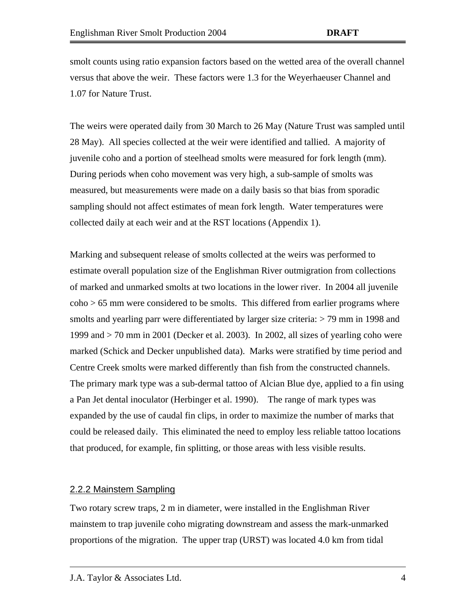smolt counts using ratio expansion factors based on the wetted area of the overall channel versus that above the weir. These factors were 1.3 for the Weyerhaeuser Channel and 1.07 for Nature Trust.

The weirs were operated daily from 30 March to 26 May (Nature Trust was sampled until 28 May). All species collected at the weir were identified and tallied. A majority of juvenile coho and a portion of steelhead smolts were measured for fork length (mm). During periods when coho movement was very high, a sub-sample of smolts was measured, but measurements were made on a daily basis so that bias from sporadic sampling should not affect estimates of mean fork length. Water temperatures were collected daily at each weir and at the RST locations (Appendix 1).

Marking and subsequent release of smolts collected at the weirs was performed to estimate overall population size of the Englishman River outmigration from collections of marked and unmarked smolts at two locations in the lower river. In 2004 all juvenile coho > 65 mm were considered to be smolts. This differed from earlier programs where smolts and yearling parr were differentiated by larger size criteria:  $>$  79 mm in 1998 and 1999 and > 70 mm in 2001 (Decker et al. 2003). In 2002, all sizes of yearling coho were marked (Schick and Decker unpublished data). Marks were stratified by time period and Centre Creek smolts were marked differently than fish from the constructed channels. The primary mark type was a sub-dermal tattoo of Alcian Blue dye, applied to a fin using a Pan Jet dental inoculator (Herbinger et al. 1990). The range of mark types was expanded by the use of caudal fin clips, in order to maximize the number of marks that could be released daily. This eliminated the need to employ less reliable tattoo locations that produced, for example, fin splitting, or those areas with less visible results.

#### <span id="page-7-0"></span>2.2.2 Mainstem Sampling

Two rotary screw traps, 2 m in diameter, were installed in the Englishman River mainstem to trap juvenile coho migrating downstream and assess the mark-unmarked proportions of the migration. The upper trap (URST) was located 4.0 km from tidal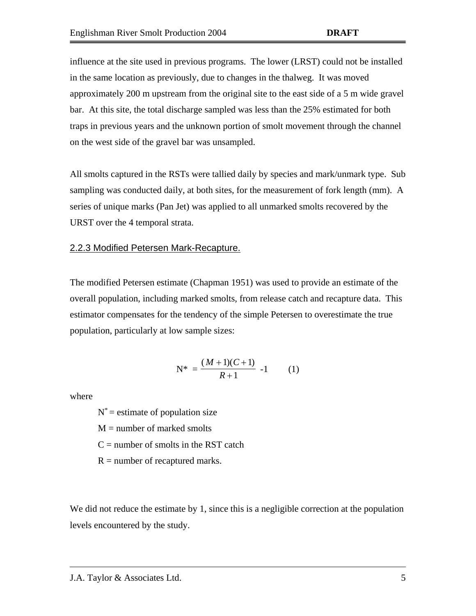influence at the site used in previous programs. The lower (LRST) could not be installed in the same location as previously, due to changes in the thalweg. It was moved approximately 200 m upstream from the original site to the east side of a 5 m wide gravel bar. At this site, the total discharge sampled was less than the 25% estimated for both traps in previous years and the unknown portion of smolt movement through the channel on the west side of the gravel bar was unsampled.

All smolts captured in the RSTs were tallied daily by species and mark/unmark type. Sub sampling was conducted daily, at both sites, for the measurement of fork length (mm). A series of unique marks (Pan Jet) was applied to all unmarked smolts recovered by the URST over the 4 temporal strata.

#### <span id="page-8-0"></span>2.2.3 Modified Petersen Mark-Recapture.

The modified Petersen estimate (Chapman 1951) was used to provide an estimate of the overall population, including marked smolts, from release catch and recapture data. This estimator compensates for the tendency of the simple Petersen to overestimate the true population, particularly at low sample sizes:

$$
N^* = \frac{(M+1)(C+1)}{R+1} -1 \qquad (1)
$$

where

 $N^*$  = estimate of population size

 $M =$  number of marked smolts

 $C =$  number of smolts in the RST catch

 $R =$  number of recaptured marks.

We did not reduce the estimate by 1, since this is a negligible correction at the population levels encountered by the study.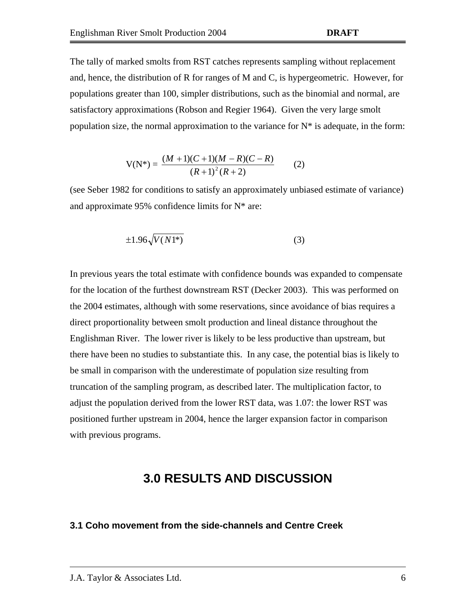The tally of marked smolts from RST catches represents sampling without replacement and, hence, the distribution of R for ranges of M and C, is hypergeometric. However, for populations greater than 100, simpler distributions, such as the binomial and normal, are satisfactory approximations (Robson and Regier 1964). Given the very large smolt population size, the normal approximation to the variance for  $N^*$  is adequate, in the form:

$$
V(N^*) = \frac{(M+1)(C+1)(M-R)(C-R)}{(R+1)^2(R+2)}
$$
 (2)

(see Seber 1982 for conditions to satisfy an approximately unbiased estimate of variance) and approximate 95% confidence limits for N\* are:

$$
\pm 1.96\sqrt{V(N1^*)} \tag{3}
$$

In previous years the total estimate with confidence bounds was expanded to compensate for the location of the furthest downstream RST (Decker 2003). This was performed on the 2004 estimates, although with some reservations, since avoidance of bias requires a direct proportionality between smolt production and lineal distance throughout the Englishman River. The lower river is likely to be less productive than upstream, but there have been no studies to substantiate this. In any case, the potential bias is likely to be small in comparison with the underestimate of population size resulting from truncation of the sampling program, as described later. The multiplication factor, to adjust the population derived from the lower RST data, was 1.07: the lower RST was positioned further upstream in 2004, hence the larger expansion factor in comparison with previous programs.

## **3.0 RESULTS AND DISCUSSION**

#### <span id="page-9-1"></span><span id="page-9-0"></span>**3.1 Coho movement from the side-channels and Centre Creek**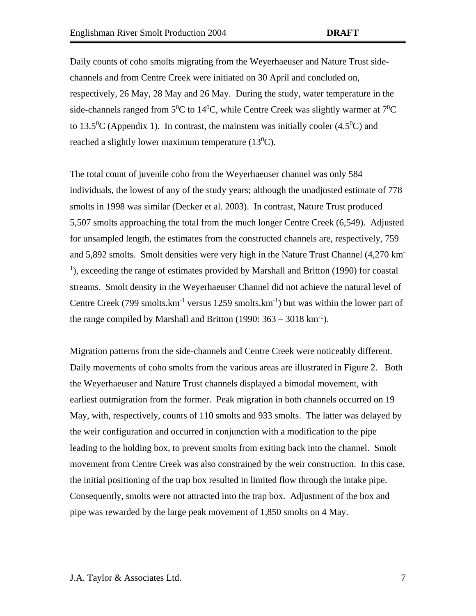Daily counts of coho smolts migrating from the Weyerhaeuser and Nature Trust sidechannels and from Centre Creek were initiated on 30 April and concluded on, respectively, 26 May, 28 May and 26 May. During the study, water temperature in the side-channels ranged from  $5^0C$  to  $14^0C$ , while Centre Creek was slightly warmer at  $7^0C$ to 13.5<sup>0</sup>C (Appendix 1). In contrast, the mainstem was initially cooler  $(4.5^0C)$  and reached a slightly lower maximum temperature  $(13^0C)$ .

The total count of juvenile coho from the Weyerhaeuser channel was only 584 individuals, the lowest of any of the study years; although the unadjusted estimate of 778 smolts in 1998 was similar (Decker et al. 2003). In contrast, Nature Trust produced 5,507 smolts approaching the total from the much longer Centre Creek (6,549). Adjusted for unsampled length, the estimates from the constructed channels are, respectively, 759 and 5,892 smolts. Smolt densities were very high in the Nature Trust Channel (4,270 km-<sup>1</sup>), exceeding the range of estimates provided by Marshall and Britton (1990) for coastal streams. Smolt density in the Weyerhaeuser Channel did not achieve the natural level of Centre Creek (799 smolts. $km^{-1}$  versus 1259 smolts. $km^{-1}$ ) but was within the lower part of the range compiled by Marshall and Britton  $(1990: 363 - 3018 \text{ km}^{-1})$ .

Migration patterns from the side-channels and Centre Creek were noticeably different. Daily movements of coho smolts from the various areas are illustrated in Figure 2. Both the Weyerhaeuser and Nature Trust channels displayed a bimodal movement, with earliest outmigration from the former. Peak migration in both channels occurred on 19 May, with, respectively, counts of 110 smolts and 933 smolts. The latter was delayed by the weir configuration and occurred in conjunction with a modification to the pipe leading to the holding box, to prevent smolts from exiting back into the channel. Smolt movement from Centre Creek was also constrained by the weir construction. In this case, the initial positioning of the trap box resulted in limited flow through the intake pipe. Consequently, smolts were not attracted into the trap box. Adjustment of the box and pipe was rewarded by the large peak movement of 1,850 smolts on 4 May.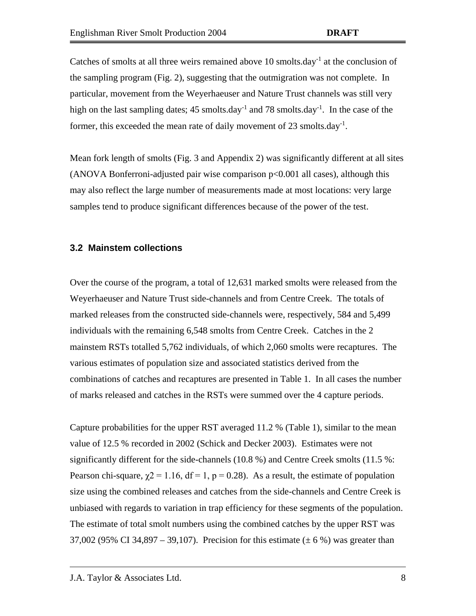Catches of smolts at all three weirs remained above 10 smolts.day<sup>-1</sup> at the conclusion of the sampling program (Fig. 2), suggesting that the outmigration was not complete. In particular, movement from the Weyerhaeuser and Nature Trust channels was still very high on the last sampling dates; 45 smolts.day<sup>-1</sup> and 78 smolts.day<sup>-1</sup>. In the case of the former, this exceeded the mean rate of daily movement of 23 smolts.day<sup>-1</sup>.

Mean fork length of smolts (Fig. 3 and Appendix 2) was significantly different at all sites (ANOVA Bonferroni-adjusted pair wise comparison p<0.001 all cases), although this may also reflect the large number of measurements made at most locations: very large samples tend to produce significant differences because of the power of the test.

#### <span id="page-11-0"></span>**3.2 Mainstem collections**

Over the course of the program, a total of 12,631 marked smolts were released from the Weyerhaeuser and Nature Trust side-channels and from Centre Creek. The totals of marked releases from the constructed side-channels were, respectively, 584 and 5,499 individuals with the remaining 6,548 smolts from Centre Creek. Catches in the 2 mainstem RSTs totalled 5,762 individuals, of which 2,060 smolts were recaptures. The various estimates of population size and associated statistics derived from the combinations of catches and recaptures are presented in Table 1. In all cases the number of marks released and catches in the RSTs were summed over the 4 capture periods.

Capture probabilities for the upper RST averaged 11.2 % (Table 1), similar to the mean value of 12.5 % recorded in 2002 (Schick and Decker 2003). Estimates were not significantly different for the side-channels (10.8 %) and Centre Creek smolts (11.5 %: Pearson chi-square,  $\gamma$ 2 = 1.16, df = 1, p = 0.28). As a result, the estimate of population size using the combined releases and catches from the side-channels and Centre Creek is unbiased with regards to variation in trap efficiency for these segments of the population. The estimate of total smolt numbers using the combined catches by the upper RST was 37,002 (95% CI 34,897 – 39,107). Precision for this estimate ( $\pm$  6%) was greater than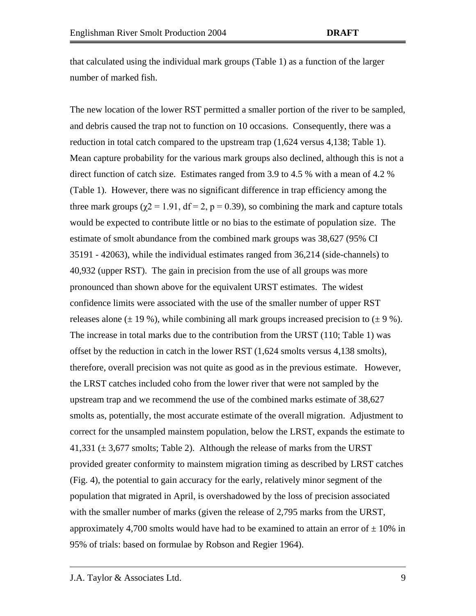that calculated using the individual mark groups (Table 1) as a function of the larger number of marked fish.

The new location of the lower RST permitted a smaller portion of the river to be sampled, and debris caused the trap not to function on 10 occasions. Consequently, there was a reduction in total catch compared to the upstream trap (1,624 versus 4,138; Table 1). Mean capture probability for the various mark groups also declined, although this is not a direct function of catch size. Estimates ranged from 3.9 to 4.5 % with a mean of 4.2 % (Table 1). However, there was no significant difference in trap efficiency among the three mark groups ( $\gamma$ 2 = 1.91, df = 2, p = 0.39), so combining the mark and capture totals would be expected to contribute little or no bias to the estimate of population size. The estimate of smolt abundance from the combined mark groups was 38,627 (95% CI 35191 - 42063), while the individual estimates ranged from 36,214 (side-channels) to 40,932 (upper RST). The gain in precision from the use of all groups was more pronounced than shown above for the equivalent URST estimates. The widest confidence limits were associated with the use of the smaller number of upper RST releases alone  $(\pm 19\%)$ , while combining all mark groups increased precision to  $(\pm 9\%)$ . The increase in total marks due to the contribution from the URST (110; Table 1) was offset by the reduction in catch in the lower RST (1,624 smolts versus 4,138 smolts), therefore, overall precision was not quite as good as in the previous estimate. However, the LRST catches included coho from the lower river that were not sampled by the upstream trap and we recommend the use of the combined marks estimate of 38,627 smolts as, potentially, the most accurate estimate of the overall migration. Adjustment to correct for the unsampled mainstem population, below the LRST, expands the estimate to 41,331 ( $\pm$  3,677 smolts; Table 2). Although the release of marks from the URST provided greater conformity to mainstem migration timing as described by LRST catches (Fig. 4), the potential to gain accuracy for the early, relatively minor segment of the population that migrated in April, is overshadowed by the loss of precision associated with the smaller number of marks (given the release of 2,795 marks from the URST, approximately 4,700 smolts would have had to be examined to attain an error of  $\pm$  10% in 95% of trials: based on formulae by Robson and Regier 1964).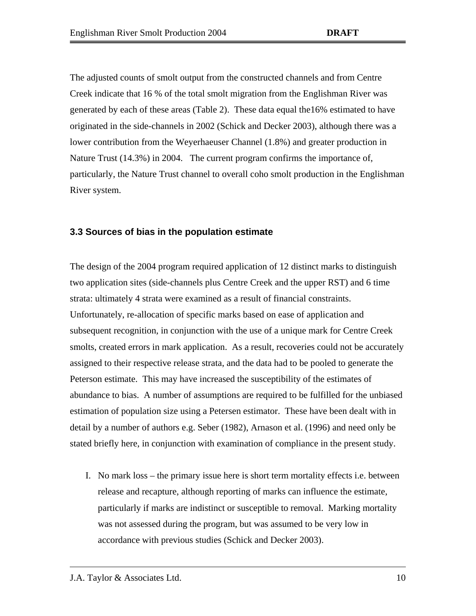The adjusted counts of smolt output from the constructed channels and from Centre Creek indicate that 16 % of the total smolt migration from the Englishman River was generated by each of these areas (Table 2). These data equal the16% estimated to have originated in the side-channels in 2002 (Schick and Decker 2003), although there was a lower contribution from the Weyerhaeuser Channel (1.8%) and greater production in Nature Trust (14.3%) in 2004. The current program confirms the importance of, particularly, the Nature Trust channel to overall coho smolt production in the Englishman River system.

#### <span id="page-13-0"></span>**3.3 Sources of bias in the population estimate**

The design of the 2004 program required application of 12 distinct marks to distinguish two application sites (side-channels plus Centre Creek and the upper RST) and 6 time strata: ultimately 4 strata were examined as a result of financial constraints. Unfortunately, re-allocation of specific marks based on ease of application and subsequent recognition, in conjunction with the use of a unique mark for Centre Creek smolts, created errors in mark application. As a result, recoveries could not be accurately assigned to their respective release strata, and the data had to be pooled to generate the Peterson estimate. This may have increased the susceptibility of the estimates of abundance to bias. A number of assumptions are required to be fulfilled for the unbiased estimation of population size using a Petersen estimator. These have been dealt with in detail by a number of authors e.g. Seber (1982), Arnason et al. (1996) and need only be stated briefly here, in conjunction with examination of compliance in the present study.

I. No mark loss – the primary issue here is short term mortality effects i.e. between release and recapture, although reporting of marks can influence the estimate, particularly if marks are indistinct or susceptible to removal. Marking mortality was not assessed during the program, but was assumed to be very low in accordance with previous studies (Schick and Decker 2003).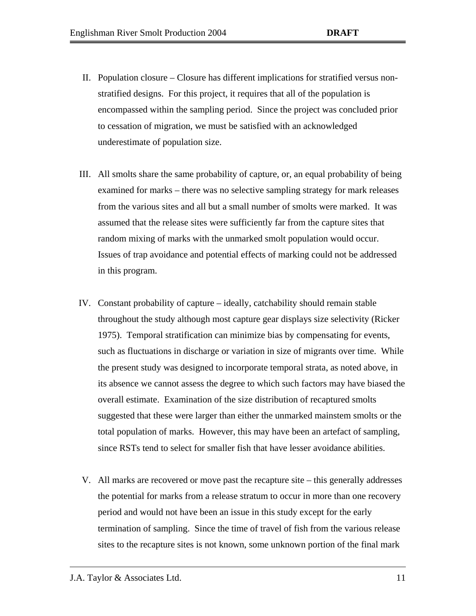- II. Population closure Closure has different implications for stratified versus nonstratified designs. For this project, it requires that all of the population is encompassed within the sampling period. Since the project was concluded prior to cessation of migration, we must be satisfied with an acknowledged underestimate of population size.
- III. All smolts share the same probability of capture, or, an equal probability of being examined for marks – there was no selective sampling strategy for mark releases from the various sites and all but a small number of smolts were marked. It was assumed that the release sites were sufficiently far from the capture sites that random mixing of marks with the unmarked smolt population would occur. Issues of trap avoidance and potential effects of marking could not be addressed in this program.
- IV. Constant probability of capture ideally, catchability should remain stable throughout the study although most capture gear displays size selectivity (Ricker 1975). Temporal stratification can minimize bias by compensating for events, such as fluctuations in discharge or variation in size of migrants over time. While the present study was designed to incorporate temporal strata, as noted above, in its absence we cannot assess the degree to which such factors may have biased the overall estimate. Examination of the size distribution of recaptured smolts suggested that these were larger than either the unmarked mainstem smolts or the total population of marks. However, this may have been an artefact of sampling, since RSTs tend to select for smaller fish that have lesser avoidance abilities.
- V. All marks are recovered or move past the recapture site this generally addresses the potential for marks from a release stratum to occur in more than one recovery period and would not have been an issue in this study except for the early termination of sampling. Since the time of travel of fish from the various release sites to the recapture sites is not known, some unknown portion of the final mark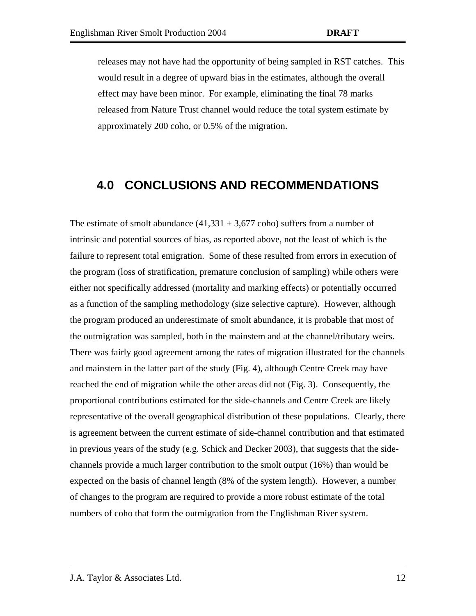releases may not have had the opportunity of being sampled in RST catches. This would result in a degree of upward bias in the estimates, although the overall effect may have been minor. For example, eliminating the final 78 marks released from Nature Trust channel would reduce the total system estimate by approximately 200 coho, or 0.5% of the migration.

## <span id="page-15-0"></span>**4.0 CONCLUSIONS AND RECOMMENDATIONS**

The estimate of smolt abundance  $(41,331 \pm 3,677 \text{ coho})$  suffers from a number of intrinsic and potential sources of bias, as reported above, not the least of which is the failure to represent total emigration. Some of these resulted from errors in execution of the program (loss of stratification, premature conclusion of sampling) while others were either not specifically addressed (mortality and marking effects) or potentially occurred as a function of the sampling methodology (size selective capture). However, although the program produced an underestimate of smolt abundance, it is probable that most of the outmigration was sampled, both in the mainstem and at the channel/tributary weirs. There was fairly good agreement among the rates of migration illustrated for the channels and mainstem in the latter part of the study (Fig. 4), although Centre Creek may have reached the end of migration while the other areas did not (Fig. 3). Consequently, the proportional contributions estimated for the side-channels and Centre Creek are likely representative of the overall geographical distribution of these populations. Clearly, there is agreement between the current estimate of side-channel contribution and that estimated in previous years of the study (e.g. Schick and Decker 2003), that suggests that the sidechannels provide a much larger contribution to the smolt output (16%) than would be expected on the basis of channel length (8% of the system length). However, a number of changes to the program are required to provide a more robust estimate of the total numbers of coho that form the outmigration from the Englishman River system.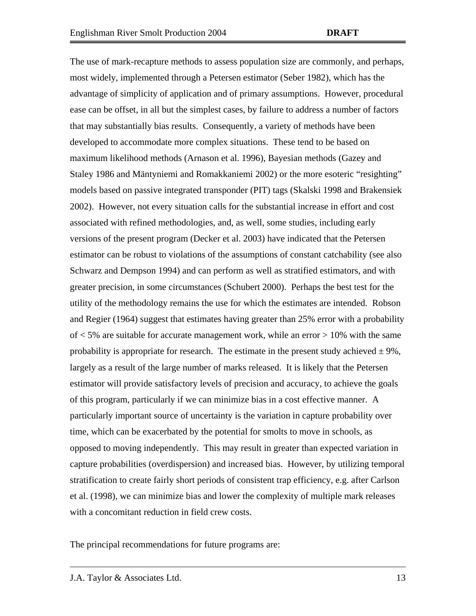The use of mark-recapture methods to assess population size are commonly, and perhaps, most widely, implemented through a Petersen estimator (Seber 1982), which has the advantage of simplicity of application and of primary assumptions. However, procedural ease can be offset, in all but the simplest cases, by failure to address a number of factors that may substantially bias results. Consequently, a variety of methods have been developed to accommodate more complex situations. These tend to be based on maximum likelihood methods (Arnason et al. 1996), Bayesian methods (Gazey and Staley 1986 and Mäntyniemi and Romakkaniemi 2002) or the more esoteric "resighting" models based on passive integrated transponder (PIT) tags (Skalski 1998 and Brakensiek 2002). However, not every situation calls for the substantial increase in effort and cost associated with refined methodologies, and, as well, some studies, including early versions of the present program (Decker et al. 2003) have indicated that the Petersen estimator can be robust to violations of the assumptions of constant catchability (see also Schwarz and Dempson 1994) and can perform as well as stratified estimators, and with greater precision, in some circumstances (Schubert 2000). Perhaps the best test for the utility of the methodology remains the use for which the estimates are intended. Robson and Regier (1964) suggest that estimates having greater than 25% error with a probability of  $<$  5% are suitable for accurate management work, while an error  $>$  10% with the same probability is appropriate for research. The estimate in the present study achieved  $\pm 9\%$ , largely as a result of the large number of marks released. It is likely that the Petersen estimator will provide satisfactory levels of precision and accuracy, to achieve the goals of this program, particularly if we can minimize bias in a cost effective manner. A particularly important source of uncertainty is the variation in capture probability over time, which can be exacerbated by the potential for smolts to move in schools, as opposed to moving independently. This may result in greater than expected variation in capture probabilities (overdispersion) and increased bias. However, by utilizing temporal stratification to create fairly short periods of consistent trap efficiency, e.g. after Carlson et al. (1998), we can minimize bias and lower the complexity of multiple mark releases with a concomitant reduction in field crew costs.

The principal recommendations for future programs are: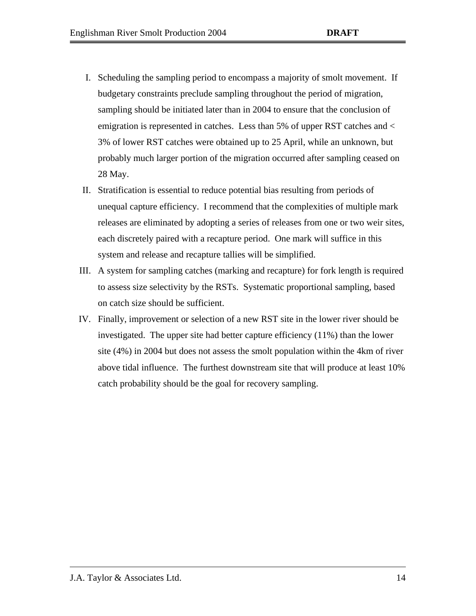- I. Scheduling the sampling period to encompass a majority of smolt movement. If budgetary constraints preclude sampling throughout the period of migration, sampling should be initiated later than in 2004 to ensure that the conclusion of emigration is represented in catches. Less than 5% of upper RST catches and < 3% of lower RST catches were obtained up to 25 April, while an unknown, but probably much larger portion of the migration occurred after sampling ceased on 28 May.
- II. Stratification is essential to reduce potential bias resulting from periods of unequal capture efficiency. I recommend that the complexities of multiple mark releases are eliminated by adopting a series of releases from one or two weir sites, each discretely paired with a recapture period. One mark will suffice in this system and release and recapture tallies will be simplified.
- III. A system for sampling catches (marking and recapture) for fork length is required to assess size selectivity by the RSTs. Systematic proportional sampling, based on catch size should be sufficient.
- IV. Finally, improvement or selection of a new RST site in the lower river should be investigated. The upper site had better capture efficiency (11%) than the lower site (4%) in 2004 but does not assess the smolt population within the 4km of river above tidal influence. The furthest downstream site that will produce at least 10% catch probability should be the goal for recovery sampling.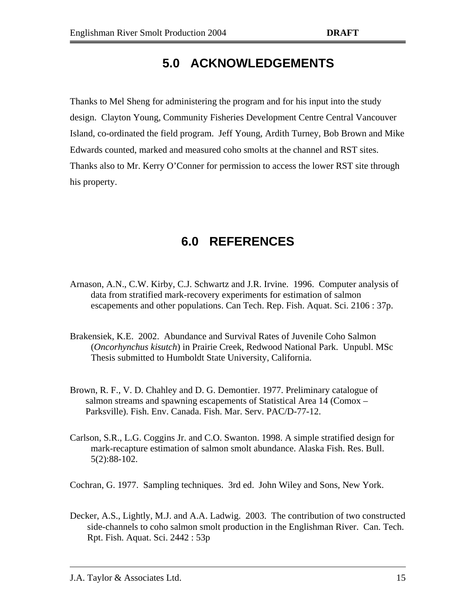# **5.0 ACKNOWLEDGEMENTS**

<span id="page-18-0"></span>Thanks to Mel Sheng for administering the program and for his input into the study design. Clayton Young, Community Fisheries Development Centre Central Vancouver Island, co-ordinated the field program. Jeff Young, Ardith Turney, Bob Brown and Mike Edwards counted, marked and measured coho smolts at the channel and RST sites. Thanks also to Mr. Kerry O'Conner for permission to access the lower RST site through his property.

# **6.0 REFERENCES**

- <span id="page-18-1"></span>Arnason, A.N., C.W. Kirby, C.J. Schwartz and J.R. Irvine. 1996. Computer analysis of data from stratified mark-recovery experiments for estimation of salmon escapements and other populations. Can Tech. Rep. Fish. Aquat. Sci. 2106 : 37p.
- Brakensiek, K.E. 2002. Abundance and Survival Rates of Juvenile Coho Salmon (*Oncorhynchus kisutch*) in Prairie Creek, Redwood National Park. Unpubl. MSc Thesis submitted to Humboldt State University, California.
- Brown, R. F., V. D. Chahley and D. G. Demontier. 1977. Preliminary catalogue of salmon streams and spawning escapements of Statistical Area 14 (Comox – Parksville). Fish. Env. Canada. Fish. Mar. Serv. PAC/D-77-12.
- Carlson, S.R., L.G. Coggins Jr. and C.O. Swanton. 1998. A simple stratified design for mark-recapture estimation of salmon smolt abundance. Alaska Fish. Res. Bull. 5(2):88-102.
- Cochran, G. 1977. Sampling techniques. 3rd ed. John Wiley and Sons, New York.
- Decker, A.S., Lightly, M.J. and A.A. Ladwig. 2003. The contribution of two constructed side-channels to coho salmon smolt production in the Englishman River. Can. Tech. Rpt. Fish. Aquat. Sci. 2442 : 53p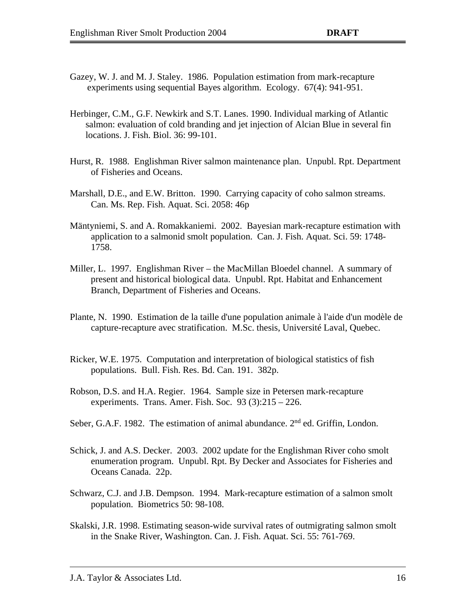- Gazey, W. J. and M. J. Staley. 1986. Population estimation from mark-recapture experiments using sequential Bayes algorithm. Ecology. 67(4): 941-951.
- Herbinger, C.M., G.F. Newkirk and S.T. Lanes. 1990. Individual marking of Atlantic salmon: evaluation of cold branding and jet injection of Alcian Blue in several fin locations. J. Fish. Biol. 36: 99-101.
- Hurst, R. 1988. Englishman River salmon maintenance plan. Unpubl. Rpt. Department of Fisheries and Oceans.
- Marshall, D.E., and E.W. Britton. 1990. Carrying capacity of coho salmon streams. Can. Ms. Rep. Fish. Aquat. Sci. 2058: 46p
- Mäntyniemi, S. and A. Romakkaniemi. 2002. Bayesian mark-recapture estimation with application to a salmonid smolt population. Can. J. Fish. Aquat. Sci. 59: 1748- 1758.
- Miller, L. 1997. Englishman River the MacMillan Bloedel channel. A summary of present and historical biological data. Unpubl. Rpt. Habitat and Enhancement Branch, Department of Fisheries and Oceans.
- Plante, N. 1990. Estimation de la taille d'une population animale à l'aide d'un modèle de capture-recapture avec stratification. M.Sc. thesis, Université Laval, Quebec.
- Ricker, W.E. 1975. Computation and interpretation of biological statistics of fish populations. Bull. Fish. Res. Bd. Can. 191. 382p.
- Robson, D.S. and H.A. Regier. 1964. Sample size in Petersen mark-recapture experiments. Trans. Amer. Fish. Soc. 93 (3):215 – 226.
- Seber, G.A.F. 1982. The estimation of animal abundance. 2<sup>nd</sup> ed. Griffin, London.
- Schick, J. and A.S. Decker. 2003. 2002 update for the Englishman River coho smolt enumeration program. Unpubl. Rpt. By Decker and Associates for Fisheries and Oceans Canada. 22p.
- Schwarz, C.J. and J.B. Dempson. 1994. Mark-recapture estimation of a salmon smolt population. Biometrics 50: 98-108.
- Skalski, J.R. 1998. Estimating season-wide survival rates of outmigrating salmon smolt in the Snake River, Washington. Can. J. Fish. Aquat. Sci. 55: 761-769.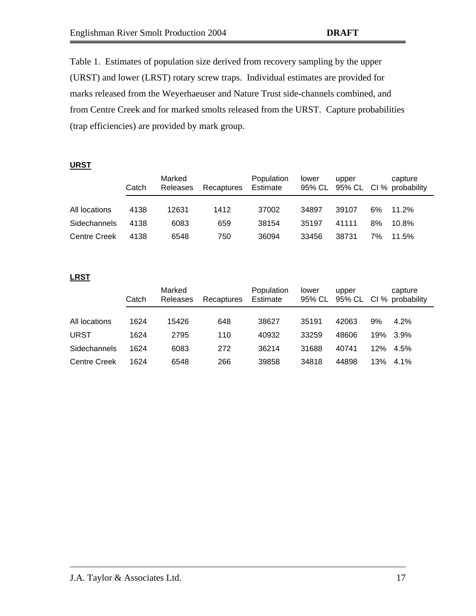Table 1. Estimates of population size derived from recovery sampling by the upper (URST) and lower (LRST) rotary screw traps. Individual estimates are provided for marks released from the Weyerhaeuser and Nature Trust side-channels combined, and from Centre Creek and for marked smolts released from the URST. Capture probabilities (trap efficiencies) are provided by mark group.

#### **URST**

|                     | Catch | Marked<br>Releases | Recaptures | Population<br>Estimate | lower | upper |    | capture<br>95% CL 95% CL CI % probability |
|---------------------|-------|--------------------|------------|------------------------|-------|-------|----|-------------------------------------------|
| All locations       | 4138  | 12631              | 1412       | 37002                  | 34897 | 39107 | 6% | 11.2%                                     |
| <b>Sidechannels</b> | 4138  | 6083               | 659        | 38154                  | 35197 | 41111 | 8% | 10.8%                                     |
| <b>Centre Creek</b> | 4138  | 6548               | 750        | 36094                  | 33456 | 38731 | 7% | 11.5%                                     |

#### **LRST**

|                     | Catch | Marked<br>Releases | Recaptures | Population<br>Estimate | lower | upper |     | capture<br>95% CL 95% CL Cl % probability |
|---------------------|-------|--------------------|------------|------------------------|-------|-------|-----|-------------------------------------------|
| All locations       | 1624  | 15426              | 648        | 38627                  | 35191 | 42063 | 9%  | 4.2%                                      |
| URST                | 1624  | 2795               | 110        | 40932                  | 33259 | 48606 | 19% | $3.9\%$                                   |
| Sidechannels        | 1624  | 6083               | 272        | 36214                  | 31688 | 40741 | 12% | 4.5%                                      |
| <b>Centre Creek</b> | 1624  | 6548               | 266        | 39858                  | 34818 | 44898 | 13% | $4.1\%$                                   |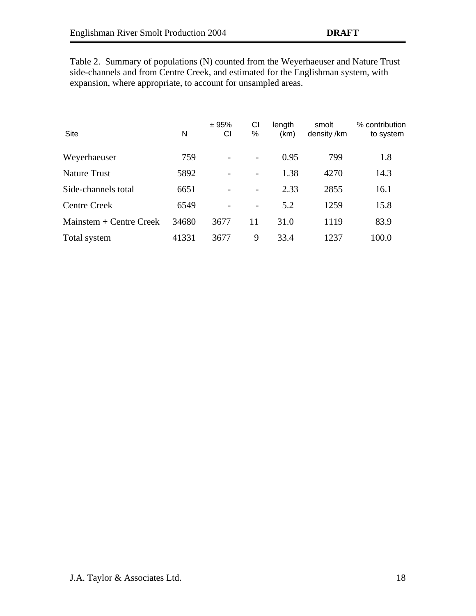Table 2. Summary of populations (N) counted from the Weyerhaeuser and Nature Trust side-channels and from Centre Creek, and estimated for the Englishman system, with expansion, where appropriate, to account for unsampled areas.

| Site                      | N     | ± 95%<br>СI | CI<br>%                  | length<br>(km) | smolt<br>density /km | % contribution<br>to system |
|---------------------------|-------|-------------|--------------------------|----------------|----------------------|-----------------------------|
| Weyerhaeuser              | 759   |             | -                        | 0.95           | 799                  | 1.8                         |
| <b>Nature Trust</b>       | 5892  |             | -                        | 1.38           | 4270                 | 14.3                        |
| Side-channels total       | 6651  |             | $\overline{\phantom{0}}$ | 2.33           | 2855                 | 16.1                        |
| <b>Centre Creek</b>       | 6549  |             | -                        | 5.2            | 1259                 | 15.8                        |
| Mainstem $+$ Centre Creek | 34680 | 3677        | 11                       | 31.0           | 1119                 | 83.9                        |
| Total system              | 41331 | 3677        | 9                        | 33.4           | 1237                 | 100.0                       |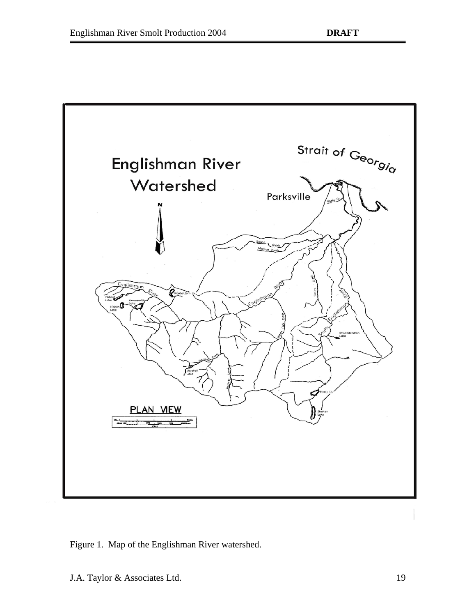

<span id="page-22-0"></span>Figure 1. Map of the Englishman River watershed.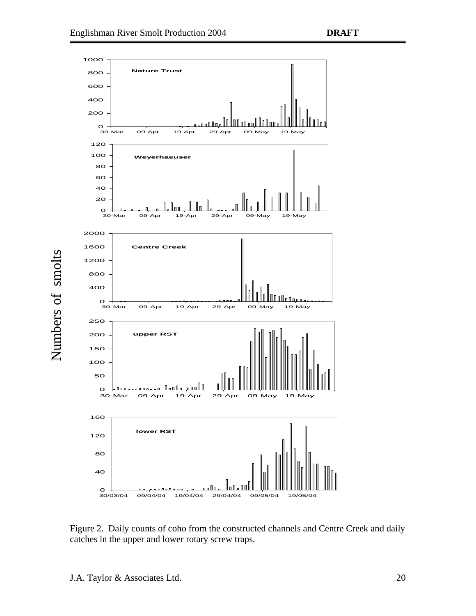

<span id="page-23-0"></span>Figure 2. Daily counts of coho from the constructed channels and Centre Creek and daily catches in the upper and lower rotary screw traps.

Numbers of smolts

Numbers of smolts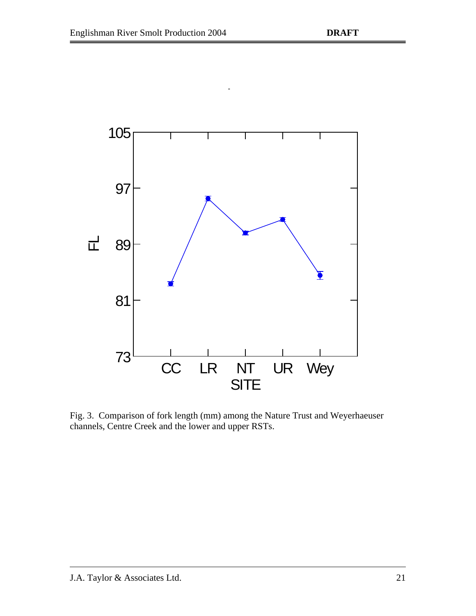

Least Squares Means

<span id="page-24-0"></span>Fig. 3. Comparison of fork length (mm) among the Nature Trust and Weyerhaeuser channels, Centre Creek and the lower and upper RSTs.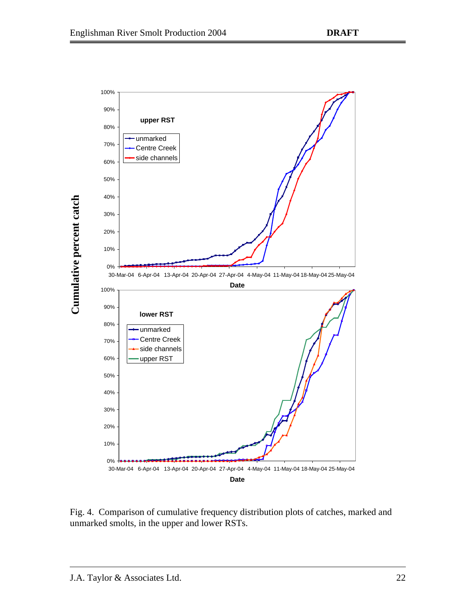

<span id="page-25-0"></span>Fig. 4. Comparison of cumulative frequency distribution plots of catches, marked and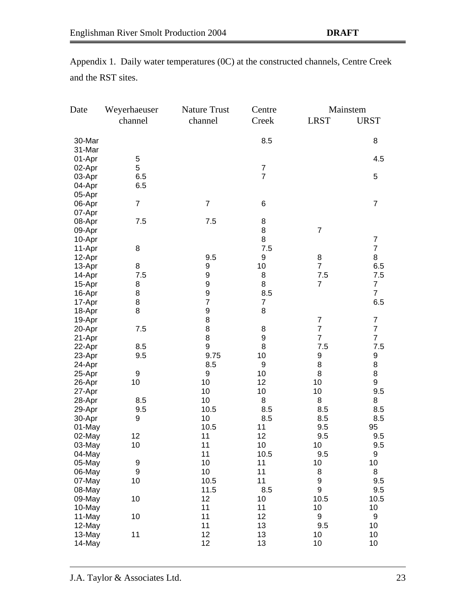| Date             | Weyerhaeuser<br>channel | <b>Nature Trust</b><br>channel | Centre<br>Creek  | <b>LRST</b>           | Mainstem<br><b>URST</b> |
|------------------|-------------------------|--------------------------------|------------------|-----------------------|-------------------------|
| 30-Mar           |                         |                                | 8.5              |                       | 8                       |
| 31-Mar           |                         |                                |                  |                       |                         |
| 01-Apr           | 5                       |                                |                  |                       | 4.5                     |
| 02-Apr           | 5                       |                                | $\overline{7}$   |                       |                         |
| 03-Apr           | 6.5                     |                                | $\overline{7}$   |                       | 5                       |
| 04-Apr           | 6.5                     |                                |                  |                       |                         |
| 05-Apr           |                         |                                |                  |                       |                         |
| 06-Apr           | $\overline{7}$          | $\overline{7}$                 | 6                |                       | $\overline{7}$          |
| 07-Apr           |                         |                                |                  |                       |                         |
| 08-Apr           | 7.5                     | 7.5                            | 8<br>8           |                       |                         |
| 09-Apr           |                         |                                | 8                | $\overline{7}$        | $\overline{7}$          |
| 10-Apr           | 8                       |                                | 7.5              |                       | $\overline{7}$          |
| 11-Apr<br>12-Apr |                         | 9.5                            | 9                | 8                     | 8                       |
| 13-Apr           | 8                       | 9                              | 10               | $\overline{7}$        | 6.5                     |
| 14-Apr           | 7.5                     | 9                              | 8                | 7.5                   | 7.5                     |
| 15-Apr           | 8                       | 9                              | 8                | $\overline{7}$        | 7                       |
| 16-Apr           | 8                       | 9                              | 8.5              |                       | $\overline{7}$          |
| 17-Apr           | 8                       | $\overline{7}$                 | 7                |                       | 6.5                     |
| 18-Apr           | 8                       | 9                              | 8                |                       |                         |
| 19-Apr           |                         | 8                              |                  | $\overline{7}$        | $\overline{7}$          |
| 20-Apr           | 7.5                     | 8                              | 8                | $\overline{7}$        | $\overline{7}$          |
| 21-Apr           |                         | 8                              | $\boldsymbol{9}$ | $\overline{7}$        | $\overline{7}$          |
| 22-Apr           | 8.5                     | 9                              | 8                | 7.5                   | 7.5                     |
| 23-Apr           | 9.5                     | 9.75                           | 10               | 9                     | 9                       |
| 24-Apr           |                         | 8.5                            | 9                | 8                     | 8                       |
| 25-Apr           | 9                       | 9                              | 10               | 8                     | 8                       |
| 26-Apr           | 10                      | 10                             | 12               | 10                    | 9                       |
| 27-Apr           |                         | 10                             | 10               | 10                    | 9.5                     |
| 28-Apr           | 8.5                     | 10                             | 8                | 8                     | 8                       |
| 29-Apr           | 9.5                     | 10.5                           | 8.5              | 8.5                   | 8.5                     |
| 30-Apr           | 9                       | 10                             | 8.5              | 8.5                   | 8.5                     |
| 01-May           |                         | 10.5                           | 11               | 9.5                   | 95                      |
| 02-May           | 12                      | 11                             | 12               | 9.5                   | 9.5                     |
| 03-May           | 10                      | 11                             | 10               | 10                    | 9.5                     |
| 04-May           |                         | 11                             | 10.5             | 9.5                   | 9                       |
| 05-May           | 9                       | 10                             | 11               | 10                    | 10                      |
| 06-May           | 9                       | 10                             | 11<br>11         | 8<br>$\boldsymbol{9}$ | 8                       |
| 07-May<br>08-May | 10                      | 10.5<br>11.5                   | 8.5              | 9                     | 9.5                     |
|                  | 10                      | 12                             |                  | 10.5                  | 9.5                     |
| 09-May<br>10-May |                         | 11                             | 10<br>11         | 10                    | 10.5<br>10              |
| 11-May           | 10                      | 11                             | 12               | 9                     | 9                       |
| 12-May           |                         | 11                             | 13               | 9.5                   | 10                      |
| 13-May           | 11                      | 12                             | 13               | 10                    | 10                      |
| 14-May           |                         | 12                             | 13               | 10                    | 10                      |

Appendix 1. Daily water temperatures (0C) at the constructed channels, Centre Creek and the RST sites.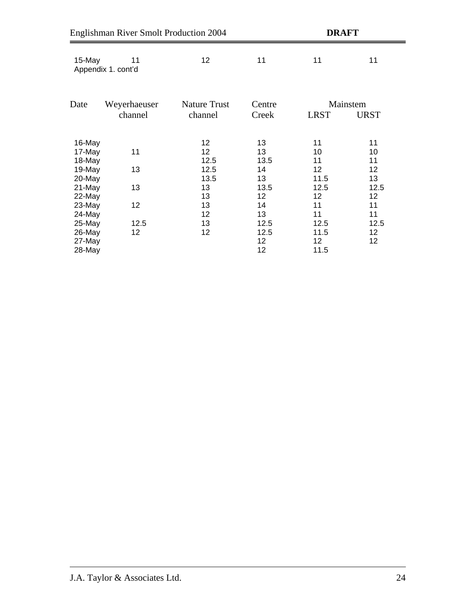|                            | <b>Englishman River Smolt Production 2004</b><br><b>DRAFT</b> |                         |                  |                                 |             |  |  |
|----------------------------|---------------------------------------------------------------|-------------------------|------------------|---------------------------------|-------------|--|--|
| 15-May                     | 11<br>Appendix 1. cont'd                                      | 12                      | 11               | 11                              | 11          |  |  |
| Date                       | Weyerhaeuser                                                  | <b>Nature Trust</b>     | Centre           | Mainstem                        |             |  |  |
|                            | channel                                                       | channel                 | Creek            | <b>LRST</b>                     | <b>URST</b> |  |  |
| 16-May                     |                                                               | 12 <sub>2</sub>         | 13               | 11                              | 11          |  |  |
| 17-May<br>18-May           | 11                                                            | 12 <sub>2</sub><br>12.5 | 13<br>13.5       | 10<br>11                        | 10<br>11    |  |  |
| 19-May<br>20-May           | 13                                                            | 12.5<br>13.5            | 14<br>13         | 12<br>11.5                      | 12<br>13    |  |  |
| 21-May<br>22-May           | 13                                                            | 13<br>13                | 13.5<br>12       | 12.5<br>12                      | 12.5<br>12  |  |  |
| 23-May<br>24-May           | 12                                                            | 13<br>12                | 14<br>13         | 11<br>11                        | 11<br>11    |  |  |
| 25-May                     | 12.5                                                          | 13                      | 12.5             | 12.5                            | 12.5        |  |  |
| 26-May<br>27-May<br>28-May | 12 <sub>2</sub>                                               | 12                      | 12.5<br>12<br>12 | 11.5<br>12 <sup>2</sup><br>11.5 | 12<br>12    |  |  |
|                            |                                                               |                         |                  |                                 |             |  |  |

=